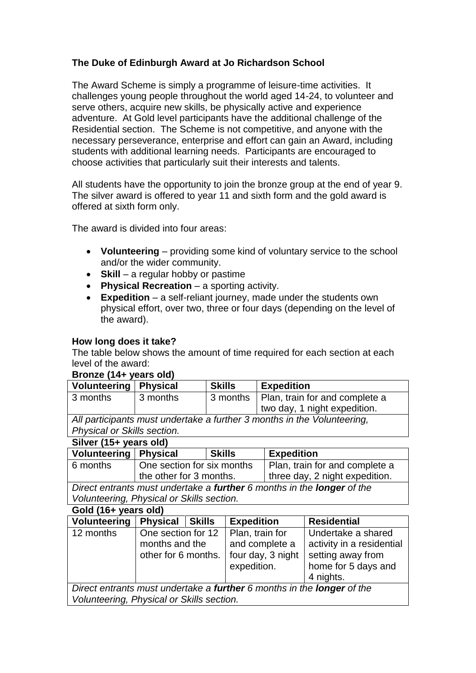### **The Duke of Edinburgh Award at Jo Richardson School**

The Award Scheme is simply a programme of leisure-time activities. It challenges young people throughout the world aged 14-24, to volunteer and serve others, acquire new skills, be physically active and experience adventure. At Gold level participants have the additional challenge of the Residential section. The Scheme is not competitive, and anyone with the necessary perseverance, enterprise and effort can gain an Award, including students with additional learning needs. Participants are encouraged to choose activities that particularly suit their interests and talents.

All students have the opportunity to join the bronze group at the end of year 9. The silver award is offered to year 11 and sixth form and the gold award is offered at sixth form only.

The award is divided into four areas:

- **Volunteering** providing some kind of voluntary service to the school and/or the wider community.
- **Skill** a regular hobby or pastime
- **Physical Recreation** a sporting activity.
- **Expedition** a self-reliant journey, made under the students own physical effort, over two, three or four days (depending on the level of the award).

### **How long does it take?**

The table below shows the amount of time required for each section at each level of the award:

#### **Bronze (14+ years old)**

| Volunteering   Physical                                                 |          | <b>Skills</b>                             | <b>Expedition</b>            |  |  |
|-------------------------------------------------------------------------|----------|-------------------------------------------|------------------------------|--|--|
| 3 months                                                                | 3 months | 3 months   Plan, train for and complete a |                              |  |  |
|                                                                         |          |                                           | two day, 1 night expedition. |  |  |
| All participants must undertake a further 3 months in the Volunteering, |          |                                           |                              |  |  |

*Physical or Skills section.*

| Silver (15+ years old)                                                               |                            |               |                                  |  |  |  |  |
|--------------------------------------------------------------------------------------|----------------------------|---------------|----------------------------------|--|--|--|--|
| Volunteering   Physical                                                              |                            | <b>Skills</b> | <b>Expedition</b>                |  |  |  |  |
| 6 months                                                                             | One section for six months |               | Plan, train for and complete a   |  |  |  |  |
|                                                                                      | the other for 3 months.    |               | I three day, 2 night expedition. |  |  |  |  |
| Direct entrants must undertake a <b>further</b> 6 months in the <b>longer</b> of the |                            |               |                                  |  |  |  |  |

*Volunteering, Physical or Skills section.*

### **Gold (16+ years old)**

| Volunteering                                                           | <b>Physical</b>                      | <b>Skills</b> | <b>Expedition</b>                 | <b>Residential</b>                              |  |  |
|------------------------------------------------------------------------|--------------------------------------|---------------|-----------------------------------|-------------------------------------------------|--|--|
| 12 months                                                              | One section for 12<br>months and the |               | Plan, train for<br>and complete a | Undertake a shared<br>activity in a residential |  |  |
|                                                                        | other for 6 months.                  |               | four day, 3 night                 | setting away from                               |  |  |
|                                                                        |                                      |               | expedition.                       | home for 5 days and                             |  |  |
|                                                                        |                                      |               |                                   | 4 nights.                                       |  |  |
| Direct entrants must undertake a further 6 months in the longer of the |                                      |               |                                   |                                                 |  |  |
| Volunteering, Physical or Skills section.                              |                                      |               |                                   |                                                 |  |  |